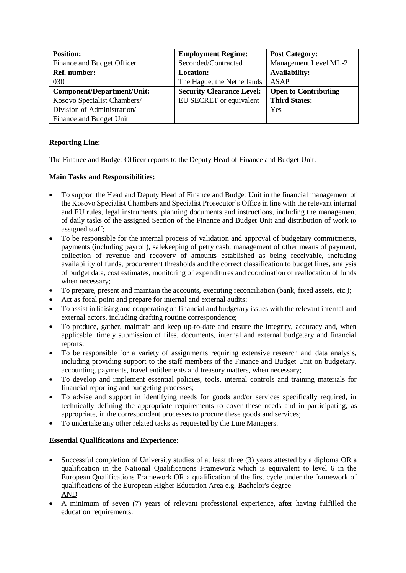| <b>Position:</b>            | <b>Employment Regime:</b>        | <b>Post Category:</b>       |
|-----------------------------|----------------------------------|-----------------------------|
| Finance and Budget Officer  | Seconded/Contracted              | Management Level ML-2       |
| Ref. number:                | <b>Location:</b>                 | <b>Availability:</b>        |
| 030                         | The Hague, the Netherlands       | <b>ASAP</b>                 |
| Component/Department/Unit:  | <b>Security Clearance Level:</b> | <b>Open to Contributing</b> |
| Kosovo Specialist Chambers/ | EU SECRET or equivalent          | <b>Third States:</b>        |
| Division of Administration/ |                                  | Yes                         |
| Finance and Budget Unit     |                                  |                             |

## **Reporting Line:**

The Finance and Budget Officer reports to the Deputy Head of Finance and Budget Unit.

## **Main Tasks and Responsibilities:**

- To support the Head and Deputy Head of Finance and Budget Unit in the financial management of the Kosovo Specialist Chambers and Specialist Prosecutor's Office in line with the relevant internal and EU rules, legal instruments, planning documents and instructions, including the management of daily tasks of the assigned Section of the Finance and Budget Unit and distribution of work to assigned staff;
- To be responsible for the internal process of validation and approval of budgetary commitments, payments (including payroll), safekeeping of petty cash, management of other means of payment, collection of revenue and recovery of amounts established as being receivable, including availability of funds, procurement thresholds and the correct classification to budget lines, analysis of budget data, cost estimates, monitoring of expenditures and coordination of reallocation of funds when necessary;
- To prepare, present and maintain the accounts, executing reconciliation (bank, fixed assets, etc.);
- Act as focal point and prepare for internal and external audits;
- To assist in liaising and cooperating on financial and budgetary issues with the relevant internal and external actors, including drafting routine correspondence;
- To produce, gather, maintain and keep up-to-date and ensure the integrity, accuracy and, when applicable, timely submission of files, documents, internal and external budgetary and financial reports;
- To be responsible for a variety of assignments requiring extensive research and data analysis, including providing support to the staff members of the Finance and Budget Unit on budgetary, accounting, payments, travel entitlements and treasury matters, when necessary;
- To develop and implement essential policies, tools, internal controls and training materials for financial reporting and budgeting processes;
- To advise and support in identifying needs for goods and/or services specifically required, in technically defining the appropriate requirements to cover these needs and in participating, as appropriate, in the correspondent processes to procure these goods and services;
- To undertake any other related tasks as requested by the Line Managers.

## **Essential Qualifications and Experience:**

- Successful completion of University studies of at least three (3) years attested by a diploma OR a qualification in the National Qualifications Framework which is equivalent to level 6 in the European Qualifications Framework OR a qualification of the first cycle under the framework of qualifications of the European Higher Education Area e.g. Bachelor's degree AND
- A minimum of seven (7) years of relevant professional experience, after having fulfilled the education requirements.